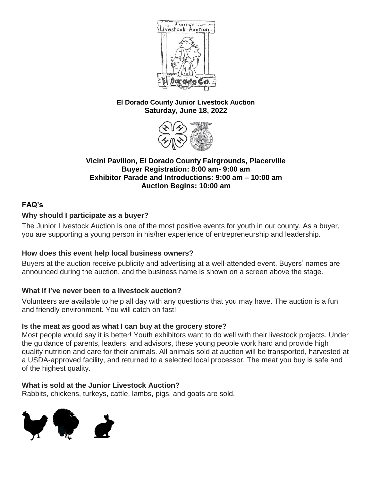

#### **El Dorado County Junior Livestock Auction Saturday, June 18, 2022**



#### **Vicini Pavilion, El Dorado County Fairgrounds, Placerville Buyer Registration: 8:00 am- 9:00 am Exhibitor Parade and Introductions: 9:00 am – 10:00 am Auction Begins: 10:00 am**

# **FAQ's**

# **Why should I participate as a buyer?**

The Junior Livestock Auction is one of the most positive events for youth in our county. As a buyer, you are supporting a young person in his/her experience of entrepreneurship and leadership.

# **How does this event help local business owners?**

Buyers at the auction receive publicity and advertising at a well-attended event. Buyers' names are announced during the auction, and the business name is shown on a screen above the stage.

### **What if I've never been to a livestock auction?**

Volunteers are available to help all day with any questions that you may have. The auction is a fun and friendly environment. You will catch on fast!

### **Is the meat as good as what I can buy at the grocery store?**

Most people would say it is better! Youth exhibitors want to do well with their livestock projects. Under the guidance of parents, leaders, and advisors, these young people work hard and provide high quality nutrition and care for their animals. All animals sold at auction will be transported, harvested at a USDA-approved facility, and returned to a selected local processor. The meat you buy is safe and of the highest quality.

### **What is sold at the Junior Livestock Auction?**

Rabbits, chickens, turkeys, cattle, lambs, pigs, and goats are sold.